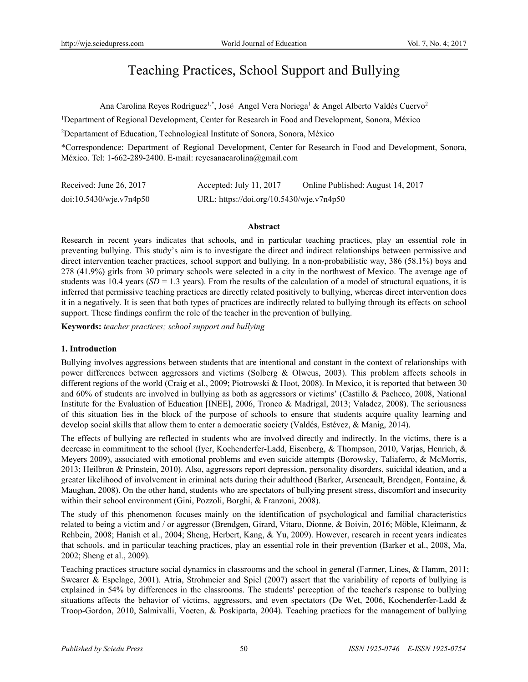# Teaching Practices, School Support and Bullying

Ana Carolina Reyes Rodríguez<sup>1,\*</sup>, José Angel Vera Noriega<sup>1</sup> & Angel Alberto Valdés Cuervo<sup>2</sup>

<sup>1</sup>Department of Regional Development, Center for Research in Food and Development, Sonora, México

2 Departament of Education, Technological Institute of Sonora, Sonora, México

\*Correspondence: Department of Regional Development, Center for Research in Food and Development, Sonora, México. Tel: 1-662-289-2400. E-mail: reyesanacarolina@gmail.com

| Received: June 26, 2017 | Accepted: July 11, 2017                  | Online Published: August 14, 2017 |
|-------------------------|------------------------------------------|-----------------------------------|
| doi:10.5430/wje.v7n4p50 | URL: https://doi.org/10.5430/wje.v7n4p50 |                                   |

#### **Abstract**

Research in recent years indicates that schools, and in particular teaching practices, play an essential role in preventing bullying. This study's aim is to investigate the direct and indirect relationships between permissive and direct intervention teacher practices, school support and bullying. In a non-probabilistic way, 386 (58.1%) boys and 278 (41.9%) girls from 30 primary schools were selected in a city in the northwest of Mexico. The average age of students was  $10.4$  years  $(SD = 1.3$  years). From the results of the calculation of a model of structural equations, it is inferred that permissive teaching practices are directly related positively to bullying, whereas direct intervention does it in a negatively. It is seen that both types of practices are indirectly related to bullying through its effects on school support. These findings confirm the role of the teacher in the prevention of bullying.

**Keywords:** *teacher practices; school support and bullying* 

## **1. Introduction**

Bullying involves aggressions between students that are intentional and constant in the context of relationships with power differences between aggressors and victims (Solberg & Olweus, 2003). This problem affects schools in different regions of the world (Craig et al., 2009; Piotrowski & Hoot, 2008). In Mexico, it is reported that between 30 and 60% of students are involved in bullying as both as aggressors or victims' (Castillo & Pacheco, 2008, National Institute for the Evaluation of Education [INEE], 2006, Tronco & Madrigal, 2013; Valadez, 2008). The seriousness of this situation lies in the block of the purpose of schools to ensure that students acquire quality learning and develop social skills that allow them to enter a democratic society (Valdés, Estévez, & Manig, 2014).

The effects of bullying are reflected in students who are involved directly and indirectly. In the victims, there is a decrease in commitment to the school (Iyer, Kochenderfer-Ladd, Eisenberg, & Thompson, 2010, Varjas, Henrich, & Meyers 2009), associated with emotional problems and even suicide attempts (Borowsky, Taliaferro, & McMorris, 2013; Heilbron & Prinstein, 2010). Also, aggressors report depression, personality disorders, suicidal ideation, and a greater likelihood of involvement in criminal acts during their adulthood (Barker, Arseneault, Brendgen, Fontaine, & Maughan, 2008). On the other hand, students who are spectators of bullying present stress, discomfort and insecurity within their school environment (Gini, Pozzoli, Borghi, & Franzoni, 2008).

The study of this phenomenon focuses mainly on the identification of psychological and familial characteristics related to being a victim and / or aggressor (Brendgen, Girard, Vitaro, Dionne, & Boivin, 2016; Möble, Kleimann, & Rehbein, 2008; Hanish et al., 2004; Sheng, Herbert, Kang, & Yu, 2009). However, research in recent years indicates that schools, and in particular teaching practices, play an essential role in their prevention (Barker et al., 2008, Ma, 2002; Sheng et al., 2009).

Teaching practices structure social dynamics in classrooms and the school in general (Farmer, Lines, & Hamm, 2011; Swearer & Espelage, 2001). Atria, Strohmeier and Spiel (2007) assert that the variability of reports of bullying is explained in 54% by differences in the classrooms. The students' perception of the teacher's response to bullying situations affects the behavior of victims, aggressors, and even spectators (De Wet, 2006, Kochenderfer-Ladd & Troop-Gordon, 2010, Salmivalli, Voeten, & Poskiparta, 2004). Teaching practices for the management of bullying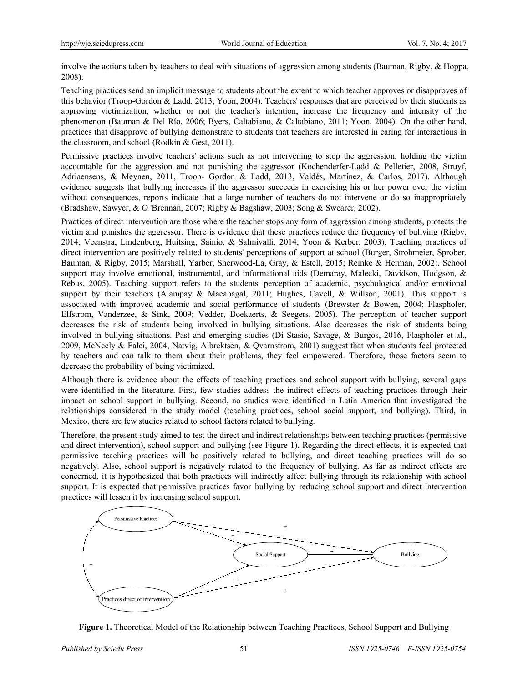involve the actions taken by teachers to deal with situations of aggression among students (Bauman, Rigby, & Hoppa, 2008).

Teaching practices send an implicit message to students about the extent to which teacher approves or disapproves of this behavior (Troop-Gordon & Ladd, 2013, Yoon, 2004). Teachers' responses that are perceived by their students as approving victimization, whether or not the teacher's intention, increase the frequency and intensity of the phenomenon (Bauman & Del Río, 2006; Byers, Caltabiano, & Caltabiano, 2011; Yoon, 2004). On the other hand, practices that disapprove of bullying demonstrate to students that teachers are interested in caring for interactions in the classroom, and school (Rodkin & Gest, 2011).

Permissive practices involve teachers' actions such as not intervening to stop the aggression, holding the victim accountable for the aggression and not punishing the aggressor (Kochenderfer-Ladd & Pelletier, 2008, Struyf, Adriaensens, & Meynen, 2011, Troop- Gordon & Ladd, 2013, Valdés, Martínez, & Carlos, 2017). Although evidence suggests that bullying increases if the aggressor succeeds in exercising his or her power over the victim without consequences, reports indicate that a large number of teachers do not intervene or do so inappropriately (Bradshaw, Sawyer, & O 'Brennan, 2007; Rigby & Bagshaw, 2003; Song & Swearer, 2002).

Practices of direct intervention are those where the teacher stops any form of aggression among students, protects the victim and punishes the aggressor. There is evidence that these practices reduce the frequency of bullying (Rigby, 2014; Veenstra, Lindenberg, Huitsing, Sainio, & Salmivalli, 2014, Yoon & Kerber, 2003). Teaching practices of direct intervention are positively related to students' perceptions of support at school (Burger, Strohmeier, Sprober, Bauman, & Rigby, 2015; Marshall, Yarber, Sherwood-La, Gray, & Estell, 2015; Reinke & Herman, 2002). School support may involve emotional, instrumental, and informational aids (Demaray, Malecki, Davidson, Hodgson, & Rebus, 2005). Teaching support refers to the students' perception of academic, psychological and/or emotional support by their teachers (Alampay & Macapagal, 2011; Hughes, Cavell, & Willson, 2001). This support is associated with improved academic and social performance of students (Brewster & Bowen, 2004; Flaspholer, Elfstrom, Vanderzee, & Sink, 2009; Vedder, Boekaerts, & Seegers, 2005). The perception of teacher support decreases the risk of students being involved in bullying situations. Also decreases the risk of students being involved in bullying situations. Past and emerging studies (Di Stasio, Savage, & Burgos, 2016, Flaspholer et al., 2009, McNeely & Falci, 2004, Natvig, Albrektsen, & Qvarnstrom, 2001) suggest that when students feel protected by teachers and can talk to them about their problems, they feel empowered. Therefore, those factors seem to decrease the probability of being victimized.

Although there is evidence about the effects of teaching practices and school support with bullying, several gaps were identified in the literature. First, few studies address the indirect effects of teaching practices through their impact on school support in bullying. Second, no studies were identified in Latin America that investigated the relationships considered in the study model (teaching practices, school social support, and bullying). Third, in Mexico, there are few studies related to school factors related to bullying.

Therefore, the present study aimed to test the direct and indirect relationships between teaching practices (permissive and direct intervention), school support and bullying (see Figure 1). Regarding the direct effects, it is expected that permissive teaching practices will be positively related to bullying, and direct teaching practices will do so negatively. Also, school support is negatively related to the frequency of bullying. As far as indirect effects are concerned, it is hypothesized that both practices will indirectly affect bullying through its relationship with school support. It is expected that permissive practices favor bullying by reducing school support and direct intervention practices will lessen it by increasing school support.



**Figure 1.** Theoretical Model of the Relationship between Teaching Practices, School Support and Bullying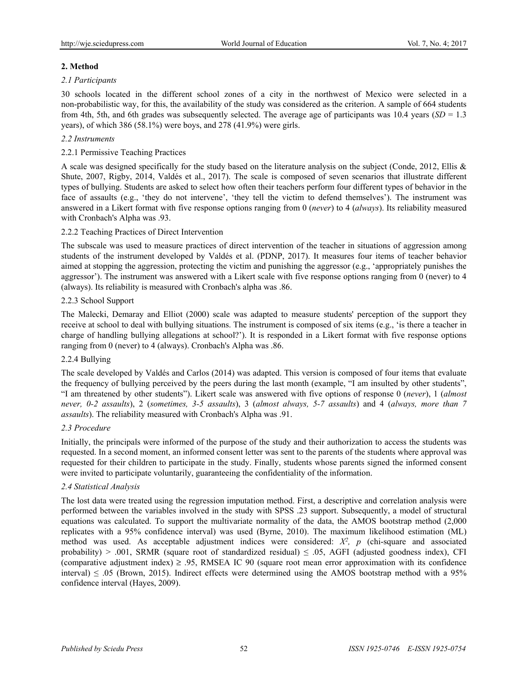# **2. Method**

# *2.1 Participants*

30 schools located in the different school zones of a city in the northwest of Mexico were selected in a non-probabilistic way, for this, the availability of the study was considered as the criterion. A sample of 664 students from 4th, 5th, and 6th grades was subsequently selected. The average age of participants was 10.4 years (*SD* = 1.3 years), of which  $386 (58.1\%)$  were boys, and  $278 (41.9\%)$  were girls.

# *2.2 Instruments*

## 2.2.1 Permissive Teaching Practices

A scale was designed specifically for the study based on the literature analysis on the subject (Conde, 2012, Ellis & Shute, 2007, Rigby, 2014, Valdés et al., 2017). The scale is composed of seven scenarios that illustrate different types of bullying. Students are asked to select how often their teachers perform four different types of behavior in the face of assaults (e.g., 'they do not intervene', 'they tell the victim to defend themselves'). The instrument was answered in a Likert format with five response options ranging from 0 (*never*) to 4 (*always*). Its reliability measured with Cronbach's Alpha was .93.

## 2.2.2 Teaching Practices of Direct Intervention

The subscale was used to measure practices of direct intervention of the teacher in situations of aggression among students of the instrument developed by Valdés et al. (PDNP, 2017). It measures four items of teacher behavior aimed at stopping the aggression, protecting the victim and punishing the aggressor (e.g., 'appropriately punishes the aggressor'). The instrument was answered with a Likert scale with five response options ranging from 0 (never) to 4 (always). Its reliability is measured with Cronbach's alpha was .86.

#### 2.2.3 School Support

The Malecki, Demaray and Elliot (2000) scale was adapted to measure students' perception of the support they receive at school to deal with bullying situations. The instrument is composed of six items (e.g., 'is there a teacher in charge of handling bullying allegations at school?'). It is responded in a Likert format with five response options ranging from 0 (never) to 4 (always). Cronbach's Alpha was .86.

## 2.2.4 Bullying

The scale developed by Valdés and Carlos (2014) was adapted. This version is composed of four items that evaluate the frequency of bullying perceived by the peers during the last month (example, "I am insulted by other students", "I am threatened by other students"). Likert scale was answered with five options of response 0 (*never*), 1 (*almost never, 0-2 assaults*), 2 (*sometimes, 3-5 assaults*), 3 (*almost always, 5-7 assaults*) and 4 (*always, more than 7 assaults*). The reliability measured with Cronbach's Alpha was .91.

## *2.3 Procedure*

Initially, the principals were informed of the purpose of the study and their authorization to access the students was requested. In a second moment, an informed consent letter was sent to the parents of the students where approval was requested for their children to participate in the study. Finally, students whose parents signed the informed consent were invited to participate voluntarily, guaranteeing the confidentiality of the information.

#### *2.4 Statistical Analysis*

The lost data were treated using the regression imputation method. First, a descriptive and correlation analysis were performed between the variables involved in the study with SPSS .23 support. Subsequently, a model of structural equations was calculated. To support the multivariate normality of the data, the AMOS bootstrap method (2,000 replicates with a 95% confidence interval) was used (Byrne, 2010). The maximum likelihood estimation (ML) method was used. As acceptable adjustment indices were considered:  $X^2$ , p (chi-square and associated probability) > .001, SRMR (square root of standardized residual)  $\leq$  .05, AGFI (adjusted goodness index), CFI (comparative adjustment index)  $\geq$  .95, RMSEA IC 90 (square root mean error approximation with its confidence interval)  $\leq$  .05 (Brown, 2015). Indirect effects were determined using the AMOS bootstrap method with a 95% confidence interval (Hayes, 2009).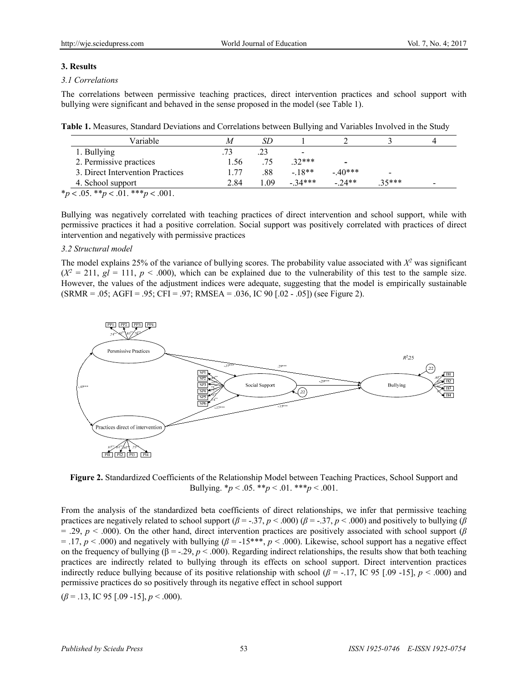#### **3. Results**

## *3.1 Correlations*

The correlations between permissive teaching practices, direct intervention practices and school support with bullying were significant and behaved in the sense proposed in the model (see Table 1).

**Table 1.** Measures, Standard Deviations and Correlations between Bullying and Variables Involved in the Study

| Variable                         |      | SD  |          |                          |          |                          |
|----------------------------------|------|-----|----------|--------------------------|----------|--------------------------|
| 1. Bullying                      |      |     | -        |                          |          |                          |
| 2. Permissive practices          | .56  | .75 | $.32***$ | $\overline{\phantom{0}}$ |          |                          |
| 3. Direct Intervention Practices | - 77 | .88 | $-18**$  | $-40***$                 |          |                          |
| 4. School support                | 2.84 | LO9 | $-34***$ | $-24**$                  | $.35***$ | $\overline{\phantom{0}}$ |

\**p* < .05. \*\**p* < .01. \*\*\**p* < .001.

Bullying was negatively correlated with teaching practices of direct intervention and school support, while with permissive practices it had a positive correlation. Social support was positively correlated with practices of direct intervention and negatively with permissive practices

## *3.2 Structural model*

The model explains 25% of the variance of bullying scores. The probability value associated with  $X<sup>2</sup>$  was significant  $(X^2 = 211, gl = 111, p < .000)$ , which can be explained due to the vulnerability of this test to the sample size. However, the values of the adjustment indices were adequate, suggesting that the model is empirically sustainable  $(SRMR = .05; AGFI = .95; CFI = .97; RMSEA = .036, IC 90 [.02 - .05])$  (see Figure 2).



**Figure 2.** Standardized Coefficients of the Relationship Model between Teaching Practices, School Support and Bullying.  $* p < .05.$   $* p < .01.$   $* * p < .001.$ 

From the analysis of the standardized beta coefficients of direct relationships, we infer that permissive teaching practices are negatively related to school support (*β* = -.37, *p* < .000) (*β* = -.37, *p* < .000) and positively to bullying (*β*  $=$  .29,  $p \lt 0.000$ ). On the other hand, direct intervention practices are positively associated with school support ( $\beta$ ) = .17, *p* < .000) and negatively with bullying (*β* = -15\*\*\*, *p* < .000). Likewise, school support has a negative effect on the frequency of bullying  $(\beta = -0.29, p < 0.000)$ . Regarding indirect relationships, the results show that both teaching practices are indirectly related to bullying through its effects on school support. Direct intervention practices indirectly reduce bullying because of its positive relationship with school  $(\beta = -17)$ , IC 95 [.09 -15],  $p < .000$  and permissive practices do so positively through its negative effect in school support

(*β* = .13, IC 95 [.09 -15], *p* < .000).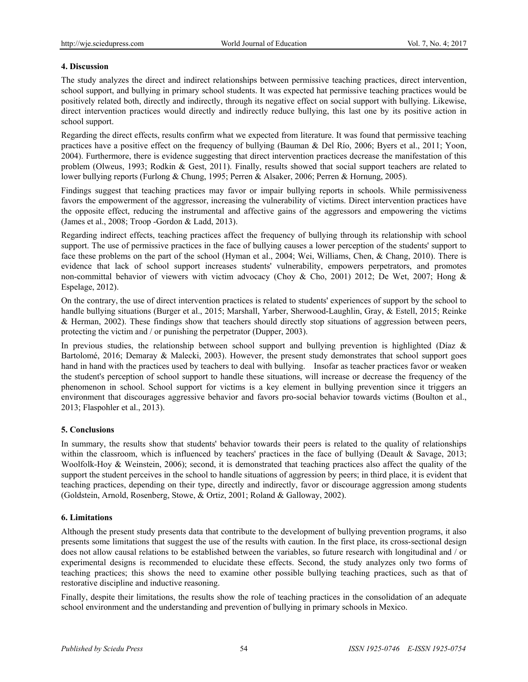# **4. Discussion**

The study analyzes the direct and indirect relationships between permissive teaching practices, direct intervention, school support, and bullying in primary school students. It was expected hat permissive teaching practices would be positively related both, directly and indirectly, through its negative effect on social support with bullying. Likewise, direct intervention practices would directly and indirectly reduce bullying, this last one by its positive action in school support.

Regarding the direct effects, results confirm what we expected from literature. It was found that permissive teaching practices have a positive effect on the frequency of bullying (Bauman & Del Río, 2006; Byers et al., 2011; Yoon, 2004). Furthermore, there is evidence suggesting that direct intervention practices decrease the manifestation of this problem (Olweus, 1993; Rodkin & Gest, 2011). Finally, results showed that social support teachers are related to lower bullying reports (Furlong & Chung, 1995; Perren & Alsaker, 2006; Perren & Hornung, 2005).

Findings suggest that teaching practices may favor or impair bullying reports in schools. While permissiveness favors the empowerment of the aggressor, increasing the vulnerability of victims. Direct intervention practices have the opposite effect, reducing the instrumental and affective gains of the aggressors and empowering the victims (James et al., 2008; Troop -Gordon & Ladd, 2013).

Regarding indirect effects, teaching practices affect the frequency of bullying through its relationship with school support. The use of permissive practices in the face of bullying causes a lower perception of the students' support to face these problems on the part of the school (Hyman et al., 2004; Wei, Williams, Chen, & Chang, 2010). There is evidence that lack of school support increases students' vulnerability, empowers perpetrators, and promotes non-committal behavior of viewers with victim advocacy (Choy & Cho, 2001) 2012; De Wet, 2007; Hong & Espelage, 2012).

On the contrary, the use of direct intervention practices is related to students' experiences of support by the school to handle bullying situations (Burger et al., 2015; Marshall, Yarber, Sherwood-Laughlin, Gray, & Estell, 2015; Reinke & Herman, 2002). These findings show that teachers should directly stop situations of aggression between peers, protecting the victim and / or punishing the perpetrator (Dupper, 2003).

In previous studies, the relationship between school support and bullying prevention is highlighted (Díaz  $\&$ Bartolomé, 2016; Demaray & Malecki, 2003). However, the present study demonstrates that school support goes hand in hand with the practices used by teachers to deal with bullying. Insofar as teacher practices favor or weaken the student's perception of school support to handle these situations, will increase or decrease the frequency of the phenomenon in school. School support for victims is a key element in bullying prevention since it triggers an environment that discourages aggressive behavior and favors pro-social behavior towards victims (Boulton et al., 2013; Flaspohler et al., 2013).

## **5. Conclusions**

In summary, the results show that students' behavior towards their peers is related to the quality of relationships within the classroom, which is influenced by teachers' practices in the face of bullying (Deault & Savage, 2013; Woolfolk-Hoy & Weinstein, 2006); second, it is demonstrated that teaching practices also affect the quality of the support the student perceives in the school to handle situations of aggression by peers; in third place, it is evident that teaching practices, depending on their type, directly and indirectly, favor or discourage aggression among students (Goldstein, Arnold, Rosenberg, Stowe, & Ortiz, 2001; Roland & Galloway, 2002).

## **6. Limitations**

Although the present study presents data that contribute to the development of bullying prevention programs, it also presents some limitations that suggest the use of the results with caution. In the first place, its cross-sectional design does not allow causal relations to be established between the variables, so future research with longitudinal and / or experimental designs is recommended to elucidate these effects. Second, the study analyzes only two forms of teaching practices; this shows the need to examine other possible bullying teaching practices, such as that of restorative discipline and inductive reasoning.

Finally, despite their limitations, the results show the role of teaching practices in the consolidation of an adequate school environment and the understanding and prevention of bullying in primary schools in Mexico.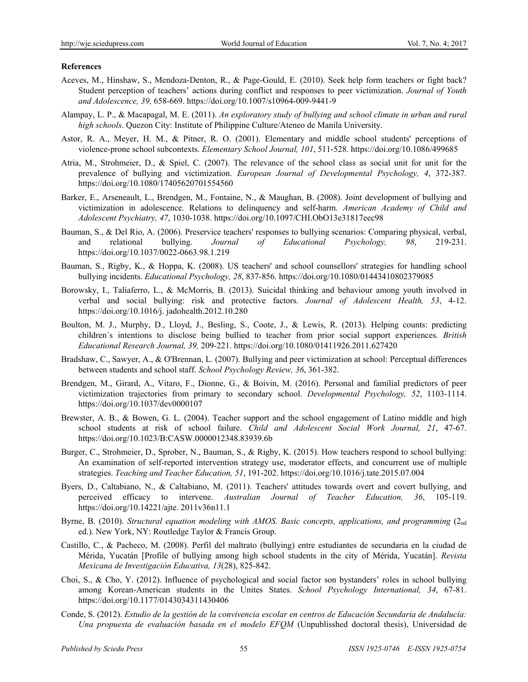#### **References**

- Aceves, M., Hinshaw, S., Mendoza-Denton, R., & Page-Gould, E. (2010). Seek help form teachers or fight back? Student perception of teachers' actions during conflict and responses to peer victimization. *Journal of Youth and Adolescence, 39,* 658-669. https://doi.org/10.1007/s10964-009-9441-9
- Alampay, L. P., & Macapagal, M. E. (2011). *An exploratory study of bullying and school climate in urban and rural high schools*. Quezon City: Institute of Philippine Culture/Ateneo de Manila University.
- Astor, R. A., Meyer, H. M., & Pitner, R. O. (2001). Elementary and middle school students' perceptions of violence-prone school subcontexts. *Elementary School Journal, 101*, 511-528. https://doi.org/10.1086/499685
- Atria, M., Strohmeier, D., & Spiel, C. (2007). The relevance of the school class as social unit for unit for the prevalence of bullying and victimization. *European Journal of Developmental Psychology, 4*, 372-387. https://doi.org/10.1080/17405620701554560
- Barker, E., Arseneault, L., Brendgen, M., Fontaine, N., & Maughan, B. (2008). Joint development of bullying and victimization in adolescence. Relations to delinquency and self-harm. *American Academy of Child and Adolescent Psychiatry, 47*, 1030-1038. https://doi.org/10.1097/CHI.ObO13e31817eec98
- Bauman, S., & Del Rio, A. (2006). Preservice teachers' responses to bullying scenarios: Comparing physical, verbal, and relational bullying. *Journal of Educational Psychology, 98*, 219-231. https://doi.org/10.1037/0022-0663.98.1.219
- Bauman, S., Rigby, K., & Hoppa, K. (2008). US teachers' and school counsellors' strategies for handling school bullying incidents. *Educational Psychology, 28*, 837-856. https://doi.org/10.1080/01443410802379085
- Borowsky, I., Taliaferro, L., & McMorris, B. (2013). Suicidal thinking and behaviour among youth involved in verbal and social bullying: risk and protective factors. *Journal of Adolescent Health, 53*, 4-12. https://doi.org/10.1016/j. jadohealth.2012.10.280
- Boulton, M. J., Murphy, D., Lloyd, J., Besling, S., Coote, J., & Lewis, R. (2013). Helping counts: predicting children´s intentions to disclose being bullied to teacher from prior social support experiences. *British Educational Research Journal, 39,* 209-221. https://doi.org/10.1080/01411926.2011.627420
- Bradshaw, C., Sawyer, A., & O'Brennan, L. (2007). Bullying and peer victimization at school: Perceptual differences between students and school staff. *School Psychology Review, 36*, 361-382.
- Brendgen, M., Girard, A., Vitaro, F., Dionne, G., & Boivin, M. (2016). Personal and familial predictors of peer victimization trajectories from primary to secondary school. *Developmental Psychology, 52*, 1103-1114. https://doi.org/10.1037/dev0000107
- Brewster, A. B., & Bowen, G. L. (2004). Teacher support and the school engagement of Latino middle and high school students at risk of school failure. *Child and Adolescent Social Work Journal, 21*, 47-67. https://doi.org/10.1023/B:CASW.0000012348.83939.6b
- Burger, C., Strohmeier, D., Sprober, N., Bauman, S., & Rigby, K. (2015). How teachers respond to school bullying: An examination of self-reported intervention strategy use, moderator effects, and concurrent use of multiple strategies. *Teaching and Teacher Education, 51*, 191-202. https://doi.org/10.1016/j.tate.2015.07.004
- Byers, D., Caltabiano, N., & Caltabiano, M. (2011). Teachers' attitudes towards overt and covert bullying, and perceived efficacy to intervene. *Australian Journal of Teacher Education, 36*, 105-119. https://doi.org/10.14221/ajte. 2011v36n11.1
- Byrne, B. (2010). *Structural equation modeling with AMOS. Basic concepts, applications, and programming* (2<sub>nd</sub>) ed.). New York, NY: Routledge Taylor & Francis Group.
- Castillo, C., & Pacheco, M. (2008). Perfil del maltrato (bullying) entre estudiantes de secundaria en la ciudad de Mérida, Yucatán [Profile of bullying among high school students in the city of Mérida, Yucatán]. *Revista Mexicana de Investigación Educativa, 13*(28), 825-842.
- Choi, S., & Cho, Y. (2012). Influence of psychological and social factor son bystanders' roles in school bullying among Korean-American students in the Unites States. *School Psychology International, 34*, 67-81. https://doi.org/10.1177/0143034311430406
- Conde, S. (2012). *Estudio de la gestión de la convivencia escolar en centros de Educación Secundaria de Andalucía: Una propuesta de evaluación basada en el modelo EFQM* (Unpublisshed doctoral thesis), Universidad de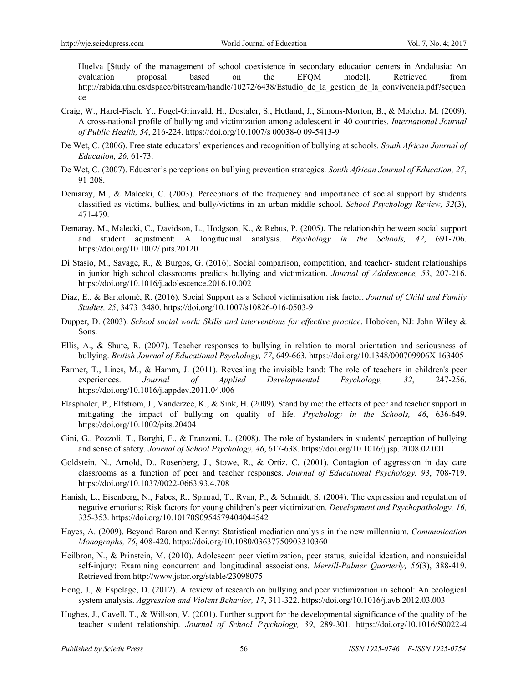Huelva [Study of the management of school coexistence in secondary education centers in Andalusia: An evaluation proposal based on the EFQM model]. Retrieved from http://rabida.uhu.es/dspace/bitstream/handle/10272/6438/Estudio de la gestion de la convivencia.pdf?sequen ce

- Craig, W., Harel-Fisch, Y., Fogel-Grinvald, H., Dostaler, S., Hetland, J., Simons-Morton, B., & Molcho, M. (2009). A cross-national profile of bullying and victimization among adolescent in 40 countries. *International Journal of Public Health, 54*, 216-224. https://doi.org/10.1007/s 00038-0 09-5413-9
- De Wet, C. (2006). Free state educators' experiences and recognition of bullying at schools. *South African Journal of Education, 26,* 61-73.
- De Wet, C. (2007). Educator's perceptions on bullying prevention strategies. *South African Journal of Education, 27*, 91-208.
- Demaray, M., & Malecki, C. (2003). Perceptions of the frequency and importance of social support by students classified as victims, bullies, and bully/victims in an urban middle school. *School Psychology Review, 32*(3), 471-479.
- Demaray, M., Malecki, C., Davidson, L., Hodgson, K., & Rebus, P. (2005). The relationship between social support and student adjustment: A longitudinal analysis. *Psychology in the Schools, 42*, 691-706. https://doi.org/10.1002/ pits.20120
- Di Stasio, M., Savage, R., & Burgos, G. (2016). Social comparison, competition, and teacher- student relationships in junior high school classrooms predicts bullying and victimization. *Journal of Adolescence, 53*, 207-216. https://doi.org/10.1016/j.adolescence.2016.10.002
- Díaz, E., & Bartolomé, R. (2016). Social Support as a School victimisation risk factor. *Journal of Child and Family Studies, 25*, 3473–3480. https://doi.org/10.1007/s10826-016-0503-9
- Dupper, D. (2003). *School social work: Skills and interventions for effective practice*. Hoboken, NJ: John Wiley & Sons.
- Ellis, A., & Shute, R. (2007). Teacher responses to bullying in relation to moral orientation and seriousness of bullying. *British Journal of Educational Psychology, 77*, 649-663. https://doi.org/10.1348/000709906X 163405
- Farmer, T., Lines, M., & Hamm, J. (2011). Revealing the invisible hand: The role of teachers in children's peer experiences. *Journal of Applied Developmental Psychology, 32*, 247-256. https://doi.org/10.1016/j.appdev.2011.04.006
- Flaspholer, P., Elfstrom, J., Vanderzee, K., & Sink, H. (2009). Stand by me: the effects of peer and teacher support in mitigating the impact of bullying on quality of life. *Psychology in the Schools, 46*, 636-649. https://doi.org/10.1002/pits.20404
- Gini, G., Pozzoli, T., Borghi, F., & Franzoni, L. (2008). The role of bystanders in students' perception of bullying and sense of safety. *Journal of School Psychology, 46*, 617-638. https://doi.org/10.1016/j.jsp. 2008.02.001
- Goldstein, N., Arnold, D., Rosenberg, J., Stowe, R., & Ortiz, C. (2001). Contagion of aggression in day care classrooms as a function of peer and teacher responses. *Journal of Educational Psychology, 93*, 708-719. https://doi.org/10.1037/0022-0663.93.4.708
- Hanish, L., Eisenberg, N., Fabes, R., Spinrad, T., Ryan, P., & Schmidt, S. (2004). The expression and regulation of negative emotions: Risk factors for young children's peer victimization. *Development and Psychopathology, 16,* 335-353. https://doi.org/10.10170S0954579404044542
- Hayes, A. (2009). Beyond Baron and Kenny: Statistical mediation analysis in the new millennium. *Communication Monographs, 76*, 408-420. https://doi.org/10.1080/03637750903310360
- Heilbron, N., & Prinstein, M. (2010). Adolescent peer victimization, peer status, suicidal ideation, and nonsuicidal self-injury: Examining concurrent and longitudinal associations. *Merrill-Palmer Quarterly, 56*(3), 388-419. Retrieved from http://www.jstor.org/stable/23098075
- Hong, J., & Espelage, D. (2012). A review of research on bullying and peer victimization in school: An ecological system analysis. *Aggression and Violent Behavior, 17*, 311-322. https://doi.org/10.1016/j.avb.2012.03.003
- Hughes, J., Cavell, T., & Willson, V. (2001). Further support for the developmental significance of the quality of the teacher–student relationship. *Journal of School Psychology, 39*, 289-301. https://doi.org/10.1016/S0022-4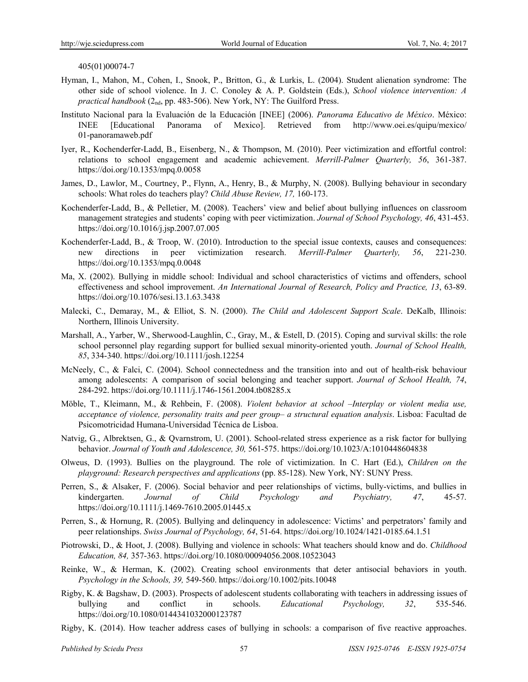405(01)00074-7

- Hyman, I., Mahon, M., Cohen, I., Snook, P., Britton, G., & Lurkis, L. (2004). Student alienation syndrome: The other side of school violence. In J. C. Conoley & A. P. Goldstein (Eds.), *School violence intervention: A practical handbook* (2nd, pp. 483-506). New York, NY: The Guilford Press.
- Instituto Nacional para la Evaluación de la Educación [INEE] (2006). *Panorama Educativo de México*. México: INEE [Educational Panorama of Mexico]. Retrieved from http://www.oei.es/quipu/mexico/ 01-panoramaweb.pdf
- Iyer, R., Kochenderfer-Ladd, B., Eisenberg, N., & Thompson, M. (2010). Peer victimization and effortful control: relations to school engagement and academic achievement. *Merrill-Palmer Quarterly, 56*, 361-387. https://doi.org/10.1353/mpq.0.0058
- James, D., Lawlor, M., Courtney, P., Flynn, A., Henry, B., & Murphy, N. (2008). Bullying behaviour in secondary schools: What roles do teachers play? *Child Abuse Review, 17,* 160-173.
- Kochenderfer-Ladd, B., & Pelletier, M. (2008). Teachers' view and belief about bullying influences on classroom management strategies and students' coping with peer victimization. *Journal of School Psychology, 46*, 431-453. https://doi.org/10.1016/j.jsp.2007.07.005
- Kochenderfer-Ladd, B., & Troop, W. (2010). Introduction to the special issue contexts, causes and consequences: new directions in peer victimization research. *Merrill-Palmer Quarterly, 56*, 221-230. https://doi.org/10.1353/mpq.0.0048
- Ma, X. (2002). Bullying in middle school: Individual and school characteristics of victims and offenders, school effectiveness and school improvement. *An International Journal of Research, Policy and Practice, 13*, 63-89. https://doi.org/10.1076/sesi.13.1.63.3438
- Malecki, C., Demaray, M., & Elliot, S. N. (2000). *The Child and Adolescent Support Scale*. DeKalb, Illinois: Northern, Illinois University.
- Marshall, A., Yarber, W., Sherwood-Laughlin, C., Gray, M., & Estell, D. (2015). Coping and survival skills: the role school personnel play regarding support for bullied sexual minority-oriented youth. *Journal of School Health, 85*, 334-340. https://doi.org/10.1111/josh.12254
- McNeely, C., & Falci, C. (2004). School connectedness and the transition into and out of health-risk behaviour among adolescents: A comparison of social belonging and teacher support. *Journal of School Health, 74*, 284-292. https://doi.org/10.1111/j.1746-1561.2004.tb08285.x
- Möble, T., Kleimann, M., & Rehbein, F. (2008). *Violent behavior at school –Interplay or violent media use, acceptance of violence, personality traits and peer group– a structural equation analysis*. Lisboa: Facultad de Psicomotricidad Humana-Universidad Técnica de Lisboa.
- Natvig, G., Albrektsen, G., & Qvarnstrom, U. (2001). School-related stress experience as a risk factor for bullying behavior. *Journal of Youth and Adolescence, 30,* 561-575. https://doi.org/10.1023/A:1010448604838
- Olweus, D. (1993). Bullies on the playground. The role of victimization. In C. Hart (Ed.), *Children on the playground: Research perspectives and applications* (pp. 85-128). New York, NY: SUNY Press.
- Perren, S., & Alsaker, F. (2006). Social behavior and peer relationships of victims, bully-victims, and bullies in kindergarten. *Journal of Child Psychology and Psychiatry, 47*, 45-57. https://doi.org/10.1111/j.1469-7610.2005.01445.x
- Perren, S., & Hornung, R. (2005). Bullying and delinquency in adolescence: Victims' and perpetrators' family and peer relationships. *Swiss Journal of Psychology, 64*, 51-64. https://doi.org/10.1024/1421-0185.64.1.51
- Piotrowski, D., & Hoot, J. (2008). Bullying and violence in schools: What teachers should know and do. *Childhood Education, 84,* 357-363. https://doi.org/10.1080/00094056.2008.10523043
- Reinke, W., & Herman, K. (2002). Creating school environments that deter antisocial behaviors in youth. *Psychology in the Schools, 39,* 549-560. https://doi.org/10.1002/pits.10048
- Rigby, K. & Bagshaw, D. (2003). Prospects of adolescent students collaborating with teachers in addressing issues of bullying and conflict in schools. *Educational Psychology, 32*, 535-546. https://doi.org/10.1080/0144341032000123787
- Rigby, K. (2014). How teacher address cases of bullying in schools: a comparison of five reactive approaches.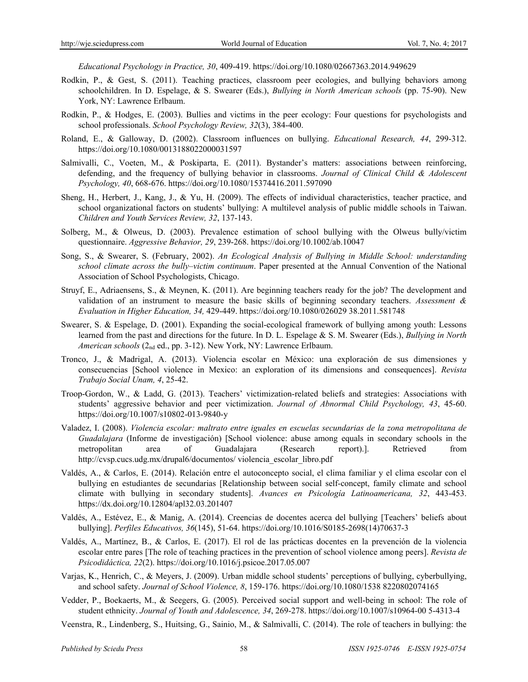*Educational Psychology in Practice, 30*, 409-419. https://doi.org/10.1080/02667363.2014.949629

- Rodkin, P., & Gest, S. (2011). Teaching practices, classroom peer ecologies, and bullying behaviors among schoolchildren. In D. Espelage, & S. Swearer (Eds.), *Bullying in North American schools* (pp. 75-90). New York, NY: Lawrence Erlbaum.
- Rodkin, P., & Hodges, E. (2003). Bullies and victims in the peer ecology: Four questions for psychologists and school professionals. *School Psychology Review, 32*(3), 384-400.
- Roland, E., & Galloway, D. (2002). Classroom influences on bullying. *Educational Research, 44*, 299-312. https://doi.org/10.1080/0013188022000031597
- Salmivalli, C., Voeten, M., & Poskiparta, E. (2011). Bystander's matters: associations between reinforcing, defending, and the frequency of bullying behavior in classrooms. *Journal of Clinical Child & Adolescent Psychology, 40*, 668-676. https://doi.org/10.1080/15374416.2011.597090
- Sheng, H., Herbert, J., Kang, J., & Yu, H. (2009). The effects of individual characteristics, teacher practice, and school organizational factors on students' bullying: A multilevel analysis of public middle schools in Taiwan. *Children and Youth Services Review, 32*, 137-143.
- Solberg, M., & Olweus, D. (2003). Prevalence estimation of school bullying with the Olweus bully/victim questionnaire. *Aggressive Behavior, 29*, 239-268. https://doi.org/10.1002/ab.10047
- Song, S., & Swearer, S. (February, 2002). *An Ecological Analysis of Bullying in Middle School: understanding school climate across the bully–victim continuum*. Paper presented at the Annual Convention of the National Association of School Psychologists, Chicago.
- Struyf, E., Adriaensens, S., & Meynen, K. (2011). Are beginning teachers ready for the job? The development and validation of an instrument to measure the basic skills of beginning secondary teachers. *Assessment & Evaluation in Higher Education, 34,* 429-449. https://doi.org/10.1080/026029 38.2011.581748
- Swearer, S. & Espelage, D. (2001). Expanding the social-ecological framework of bullying among youth: Lessons learned from the past and directions for the future. In D. L. Espelage & S. M. Swearer (Eds.), *Bullying in North American schools* (2nd ed., pp. 3-12). New York, NY: Lawrence Erlbaum.
- Tronco, J., & Madrigal, A. (2013). Violencia escolar en México: una exploración de sus dimensiones y consecuencias [School violence in Mexico: an exploration of its dimensions and consequences]. *Revista Trabajo Social Unam, 4*, 25-42.
- Troop-Gordon, W., & Ladd, G. (2013). Teachers' victimization-related beliefs and strategies: Associations with students' aggressive behavior and peer victimization. *Journal of Abnormal Child Psychology, 43*, 45-60. https://doi.org/10.1007/s10802-013-9840-y
- Valadez, I. (2008). *Violencia escolar: maltrato entre iguales en escuelas secundarias de la zona metropolitana de Guadalajara* (Informe de investigación) [School violence: abuse among equals in secondary schools in the metropolitan area of Guadalajara (Research report).]. Retrieved from http://cvsp.cucs.udg.mx/drupal6/documentos/ violencia\_escolar\_libro.pdf
- Valdés, A., & Carlos, E. (2014). Relación entre el autoconcepto social, el clima familiar y el clima escolar con el bullying en estudiantes de secundarias [Relationship between social self-concept, family climate and school climate with bullying in secondary students]. *Avances en Psicología Latinoamericana, 32*, 443-453. https://dx.doi.org/10.12804/apl32.03.201407
- Valdés, A., Estévez, E., & Manig, A. (2014). Creencias de docentes acerca del bullying [Teachers' beliefs about bullying]. *Perfiles Educativos, 36*(145), 51-64. https://doi.org/10.1016/S0185-2698(14)70637-3
- Valdés, A., Martínez, B., & Carlos, E. (2017). El rol de las prácticas docentes en la prevención de la violencia escolar entre pares [The role of teaching practices in the prevention of school violence among peers]. *Revista de Psicodidáctica, 22*(2). https://doi.org/10.1016/j.psicoe.2017.05.007
- Varjas, K., Henrich, C., & Meyers, J. (2009). Urban middle school students' perceptions of bullying, cyberbullying, and school safety. *Journal of School Violence, 8*, 159-176. https://doi.org/10.1080/1538 8220802074165
- Vedder, P., Boekaerts, M., & Seegers, G. (2005). Perceived social support and well-being in school: The role of student ethnicity. *Journal of Youth and Adolescence, 34*, 269-278. https://doi.org/10.1007/s10964-00 5-4313-4
- Veenstra, R., Lindenberg, S., Huitsing, G., Sainio, M., & Salmivalli, C. (2014). The role of teachers in bullying: the